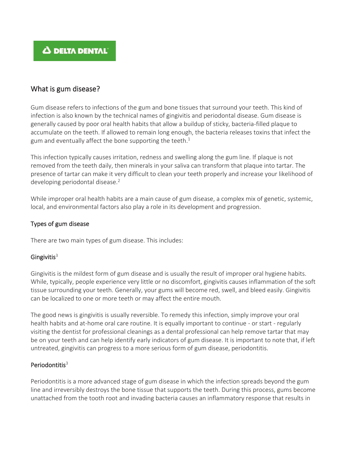# **A DELTA DENTAL**

# What is gum disease?

Gum disease refers to infections of the gum and bone tissues that surround your teeth. This kind of infection is also known by the technical names of gingivitis and periodontal disease. Gum disease is generally caused by poor oral health habits that allow a buildup of sticky, bacteria-filled plaque to accumulate on the teeth. If allowed to remain long enough, the bacteria releases toxins that infect the gum and eventually affect the bone supporting the teeth.<sup>1</sup>

This infection typically causes irritation, redness and swelling along the gum line. If plaque is not removed from the teeth daily, then minerals in your saliva can transform that plaque into tartar. The presence of tartar can make it very difficult to clean your teeth properly and increase your likelihood of developing periodontal disease.<sup>2</sup>

While improper oral health habits are a main cause of gum disease, a complex mix of genetic, systemic, local, and environmental factors also play a role in its development and progression.

### Types of gum disease

There are two main types of gum disease. This includes:

### Gingivitis $3$

Gingivitis is the mildest form of gum disease and is usually the result of improper oral hygiene habits. While, typically, people experience very little or no discomfort, gingivitis causes inflammation of the soft tissue surrounding your teeth. Generally, your gums will become red, swell, and bleed easily. Gingivitis can be localized to one or more teeth or may affect the entire mouth.

The good news is gingivitis is usually reversible. To remedy this infection, simply improve your oral health habits and at-home oral care routine. It is equally important to continue - or start - regularly visiting the dentist for professional cleanings as a dental professional can help remove tartar that may be on your teeth and can help identify early indicators of gum disease. It is important to note that, if left untreated, gingivitis can progress to a more serious form of gum disease, periodontitis.

### Periodontitis<sup>3</sup>

Periodontitis is a more advanced stage of gum disease in which the infection spreads beyond the gum line and irreversibly destroys the bone tissue that supports the teeth. During this process, gums become unattached from the tooth root and invading bacteria causes an inflammatory response that results in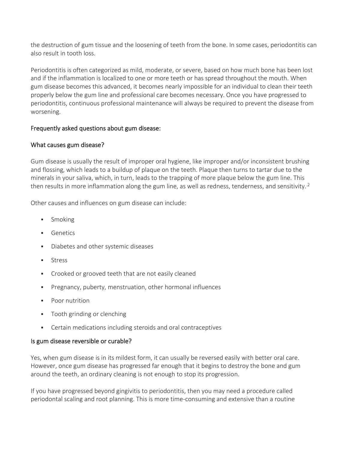the destruction of gum tissue and the loosening of teeth from the bone. In some cases, periodontitis can also result in tooth loss.

Periodontitis is often categorized as mild, moderate, or severe, based on how much bone has been lost and if the inflammation is localized to one or more teeth or has spread throughout the mouth. When gum disease becomes this advanced, it becomes nearly impossible for an individual to clean their teeth properly below the gum line and professional care becomes necessary. Once you have progressed to periodontitis, continuous professional maintenance will always be required to prevent the disease from worsening.

# Frequently asked questions about gum disease:

# What causes gum disease?

Gum disease is usually the result of improper oral hygiene, like improper and/or inconsistent brushing and flossing, which leads to a buildup of plaque on the teeth. Plaque then turns to tartar due to the minerals in your saliva, which, in turn, leads to the trapping of more plaque below the gum line. This then results in more inflammation along the gum line, as well as redness, tenderness, and sensitivity.<sup>2</sup>

Other causes and influences on gum disease can include:

- **Smoking**
- **Genetics**
- Diabetes and other systemic diseases
- Stress
- Crooked or grooved teeth that are not easily cleaned
- Pregnancy, puberty, menstruation, other hormonal influences
- Poor nutrition
- Tooth grinding or clenching
- Certain medications including steroids and oral contraceptives

### Is gum disease reversible or curable?

Yes, when gum disease is in its mildest form, it can usually be reversed easily with better oral care. However, once gum disease has progressed far enough that it begins to destroy the bone and gum around the teeth, an ordinary cleaning is not enough to stop its progression.

If you have progressed beyond gingivitis to periodontitis, then you may need a procedure called periodontal scaling and root planning. This is more time-consuming and extensive than a routine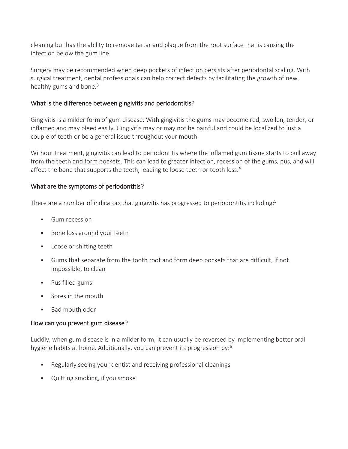cleaning but has the ability to remove tartar and plaque from the root surface that is causing the infection below the gum line.

Surgery may be recommended when deep pockets of infection persists after periodontal scaling. With surgical treatment, dental professionals can help correct defects by facilitating the growth of new, healthy gums and bone. $3$ 

# What is the difference between gingivitis and periodontitis?

Gingivitis is a milder form of gum disease. With gingivitis the gums may become red, swollen, tender, or inflamed and may bleed easily. Gingivitis may or may not be painful and could be localized to just a couple of teeth or be a general issue throughout your mouth.

Without treatment, gingivitis can lead to periodontitis where the inflamed gum tissue starts to pull away from the teeth and form pockets. This can lead to greater infection, recession of the gums, pus, and will affect the bone that supports the teeth, leading to loose teeth or tooth loss.<sup>4</sup>

# What are the symptoms of periodontitis?

There are a number of indicators that gingivitis has progressed to periodontitis including:<sup>5</sup>

- **Gum recession**
- Bone loss around your teeth
- **Loose or shifting teeth**
- Gums that separate from the tooth root and form deep pockets that are difficult, if not impossible, to clean
- Pus filled gums
- Sores in the mouth
- **Bad mouth odor**

### How can you prevent gum disease?

Luckily, when gum disease is in a milder form, it can usually be reversed by implementing better oral hygiene habits at home. Additionally, you can prevent its progression by:<sup>6</sup>

- Regularly seeing your dentist and receiving professional cleanings
- Quitting smoking, if you smoke